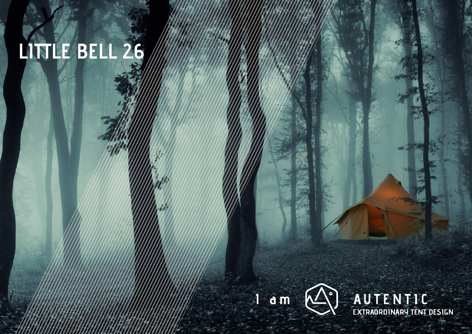# **LITTLE BELL 2.6**



AUTENTIC<br>EXTRAORDINARY TENT DESIGN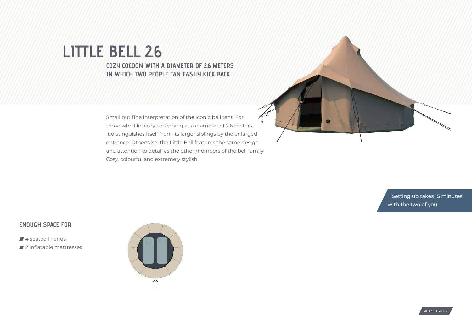## **LITTLE BELL 2.6 COZY COCOON WITH A DIAMETER OF 2,6 METERS IN WHICH TWO PEOPLE CAN EASILY KICK BACK**

Small but fine interpretation of the iconic bell tent. For those who like cozy cocooning at a diameter of 2,6 meters. It distinguishes itself from its larger siblings by the enlarged entrance. Otherwise, the Little Bell features the same design and attention to detail as the other members of the bell family. Cosy, colourful and extremely stylish.



**ENOUGH SPACE FOR**

- 4 seated friends
- 2 inflatable mattresses



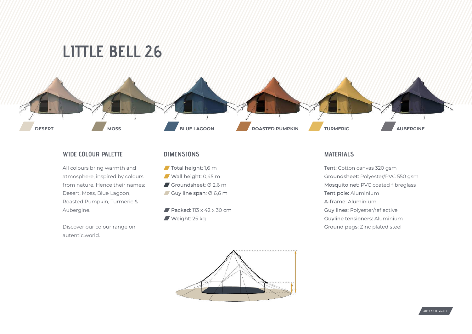



#### **WIDE COLOUR PALETTE**

All colours bring warmth and atmosphere, inspired by colours from nature. Hence their names: Desert, Moss, Blue Lagoon, Roasted Pumpkin, Turmeric & Aubergine.

Discover our colour range on autentic.world.

### **DIMENSIONS**

- Total height: 1,6 m
- Wall height: 0,45 m
- Groundsheet: Ø 2,6 m
- Guy line span:  $\emptyset$  6,6 m
- Packed:  $113 \times 42 \times 30$  cm Weight: 25 kg

#### **MATERIALS**

Tent: Cotton canvas 320 gsm Groundsheet: Polyester/PVC 550 gsm Mosquito net: PVC coated fibreglass Tent pole: Aluminium A-frame: Aluminium Guy lines: Polyester/reflective Guyline tensioners: Aluminium Ground pegs: Zinc plated steel